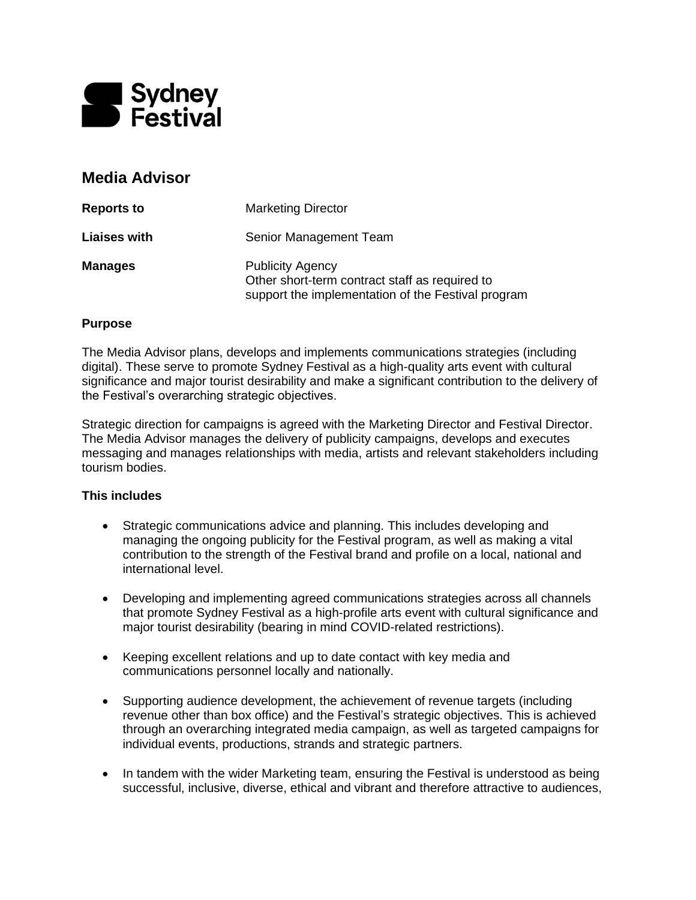

# **Media Advisor**

| <b>Reports to</b>   | <b>Marketing Director</b>                                                                                                       |
|---------------------|---------------------------------------------------------------------------------------------------------------------------------|
| <b>Liaises with</b> | Senior Management Team                                                                                                          |
| <b>Manages</b>      | <b>Publicity Agency</b><br>Other short-term contract staff as required to<br>support the implementation of the Festival program |

#### **Purpose**

The Media Advisor plans, develops and implements communications strategies (including digital). These serve to promote Sydney Festival as a high-quality arts event with cultural significance and major tourist desirability and make a significant contribution to the delivery of the Festival's overarching strategic objectives.

Strategic direction for campaigns is agreed with the Marketing Director and Festival Director. The Media Advisor manages the delivery of publicity campaigns, develops and executes messaging and manages relationships with media, artists and relevant stakeholders including tourism bodies.

## **This includes**

- Strategic communications advice and planning. This includes developing and managing the ongoing publicity for the Festival program, as well as making a vital contribution to the strength of the Festival brand and profile on a local, national and international level.
- Developing and implementing agreed communications strategies across all channels that promote Sydney Festival as a high-profile arts event with cultural significance and major tourist desirability (bearing in mind COVID-related restrictions).
- Keeping excellent relations and up to date contact with key media and communications personnel locally and nationally.
- Supporting audience development, the achievement of revenue targets (including revenue other than box office) and the Festival's strategic objectives. This is achieved through an overarching integrated media campaign, as well as targeted campaigns for individual events, productions, strands and strategic partners.
- In tandem with the wider Marketing team, ensuring the Festival is understood as being successful, inclusive, diverse, ethical and vibrant and therefore attractive to audiences,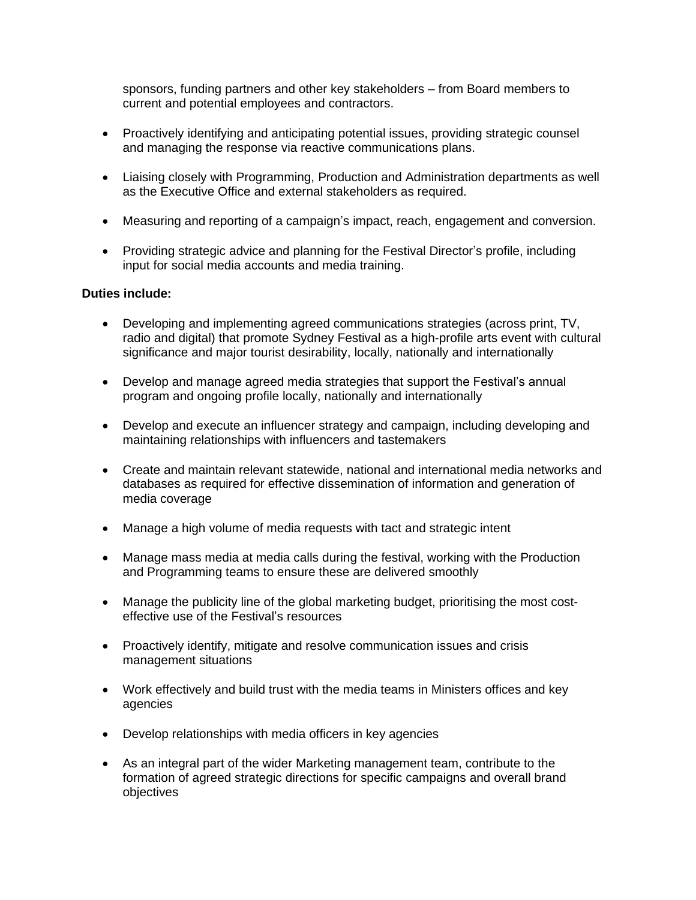sponsors, funding partners and other key stakeholders – from Board members to current and potential employees and contractors.

- Proactively identifying and anticipating potential issues, providing strategic counsel and managing the response via reactive communications plans.
- Liaising closely with Programming, Production and Administration departments as well as the Executive Office and external stakeholders as required.
- Measuring and reporting of a campaign's impact, reach, engagement and conversion.
- Providing strategic advice and planning for the Festival Director's profile, including input for social media accounts and media training.

## **Duties include:**

- Developing and implementing agreed communications strategies (across print, TV, radio and digital) that promote Sydney Festival as a high-profile arts event with cultural significance and major tourist desirability, locally, nationally and internationally
- Develop and manage agreed media strategies that support the Festival's annual program and ongoing profile locally, nationally and internationally
- Develop and execute an influencer strategy and campaign, including developing and maintaining relationships with influencers and tastemakers
- Create and maintain relevant statewide, national and international media networks and databases as required for effective dissemination of information and generation of media coverage
- Manage a high volume of media requests with tact and strategic intent
- Manage mass media at media calls during the festival, working with the Production and Programming teams to ensure these are delivered smoothly
- Manage the publicity line of the global marketing budget, prioritising the most costeffective use of the Festival's resources
- Proactively identify, mitigate and resolve communication issues and crisis management situations
- Work effectively and build trust with the media teams in Ministers offices and key agencies
- Develop relationships with media officers in key agencies
- As an integral part of the wider Marketing management team, contribute to the formation of agreed strategic directions for specific campaigns and overall brand objectives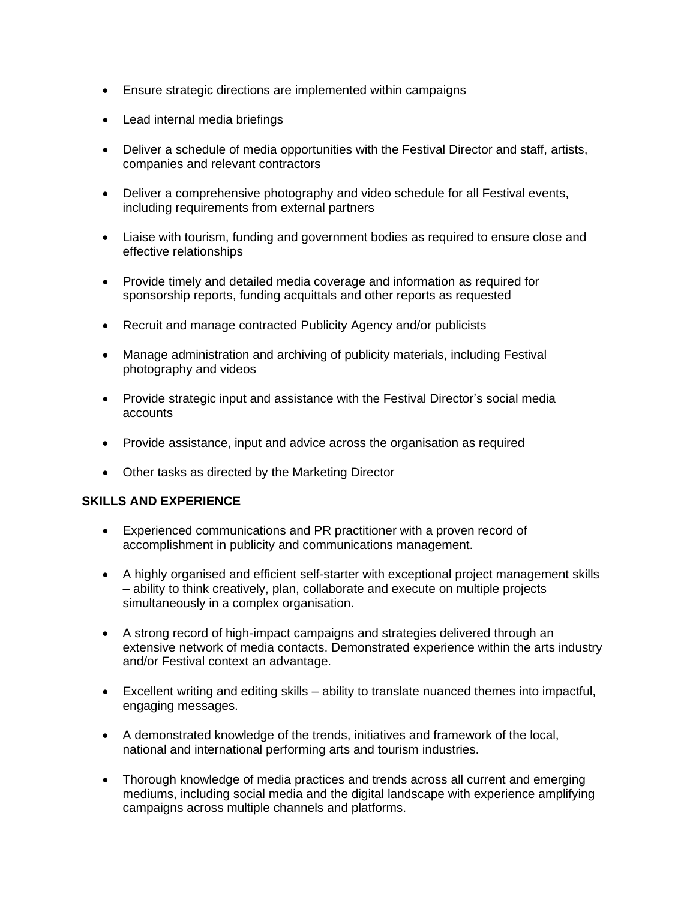- Ensure strategic directions are implemented within campaigns
- Lead internal media briefings
- Deliver a schedule of media opportunities with the Festival Director and staff, artists, companies and relevant contractors
- Deliver a comprehensive photography and video schedule for all Festival events, including requirements from external partners
- Liaise with tourism, funding and government bodies as required to ensure close and effective relationships
- Provide timely and detailed media coverage and information as required for sponsorship reports, funding acquittals and other reports as requested
- Recruit and manage contracted Publicity Agency and/or publicists
- Manage administration and archiving of publicity materials, including Festival photography and videos
- Provide strategic input and assistance with the Festival Director's social media accounts
- Provide assistance, input and advice across the organisation as required
- Other tasks as directed by the Marketing Director

## **SKILLS AND EXPERIENCE**

- Experienced communications and PR practitioner with a proven record of accomplishment in publicity and communications management.
- A highly organised and efficient self-starter with exceptional project management skills – ability to think creatively, plan, collaborate and execute on multiple projects simultaneously in a complex organisation.
- A strong record of high-impact campaigns and strategies delivered through an extensive network of media contacts. Demonstrated experience within the arts industry and/or Festival context an advantage.
- Excellent writing and editing skills ability to translate nuanced themes into impactful, engaging messages.
- A demonstrated knowledge of the trends, initiatives and framework of the local, national and international performing arts and tourism industries.
- Thorough knowledge of media practices and trends across all current and emerging mediums, including social media and the digital landscape with experience amplifying campaigns across multiple channels and platforms.